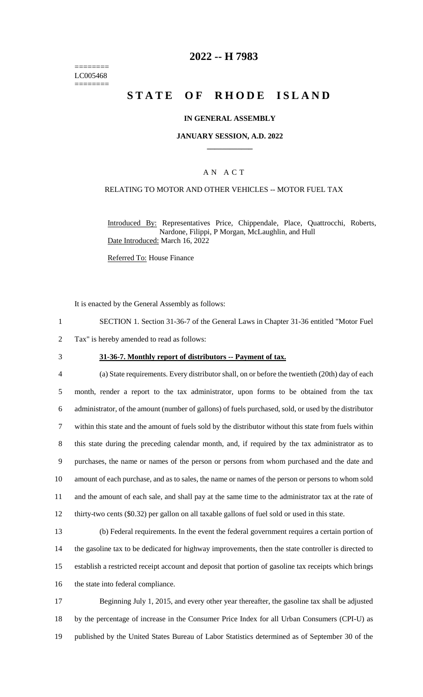======== LC005468 ========

## **2022 -- H 7983**

# **STATE OF RHODE ISLAND**

### **IN GENERAL ASSEMBLY**

#### **JANUARY SESSION, A.D. 2022 \_\_\_\_\_\_\_\_\_\_\_\_**

### A N A C T

### RELATING TO MOTOR AND OTHER VEHICLES -- MOTOR FUEL TAX

Introduced By: Representatives Price, Chippendale, Place, Quattrocchi, Roberts, Nardone, Filippi, P Morgan, McLaughlin, and Hull Date Introduced: March 16, 2022

Referred To: House Finance

It is enacted by the General Assembly as follows:

- 1 SECTION 1. Section 31-36-7 of the General Laws in Chapter 31-36 entitled "Motor Fuel
- 2 Tax" is hereby amended to read as follows:
- 

#### 3 **31-36-7. Monthly report of distributors -- Payment of tax.**

 (a) State requirements. Every distributor shall, on or before the twentieth (20th) day of each month, render a report to the tax administrator, upon forms to be obtained from the tax administrator, of the amount (number of gallons) of fuels purchased, sold, or used by the distributor within this state and the amount of fuels sold by the distributor without this state from fuels within this state during the preceding calendar month, and, if required by the tax administrator as to purchases, the name or names of the person or persons from whom purchased and the date and amount of each purchase, and as to sales, the name or names of the person or persons to whom sold and the amount of each sale, and shall pay at the same time to the administrator tax at the rate of thirty-two cents (\$0.32) per gallon on all taxable gallons of fuel sold or used in this state.

 (b) Federal requirements. In the event the federal government requires a certain portion of the gasoline tax to be dedicated for highway improvements, then the state controller is directed to establish a restricted receipt account and deposit that portion of gasoline tax receipts which brings 16 the state into federal compliance.

17 Beginning July 1, 2015, and every other year thereafter, the gasoline tax shall be adjusted 18 by the percentage of increase in the Consumer Price Index for all Urban Consumers (CPI-U) as 19 published by the United States Bureau of Labor Statistics determined as of September 30 of the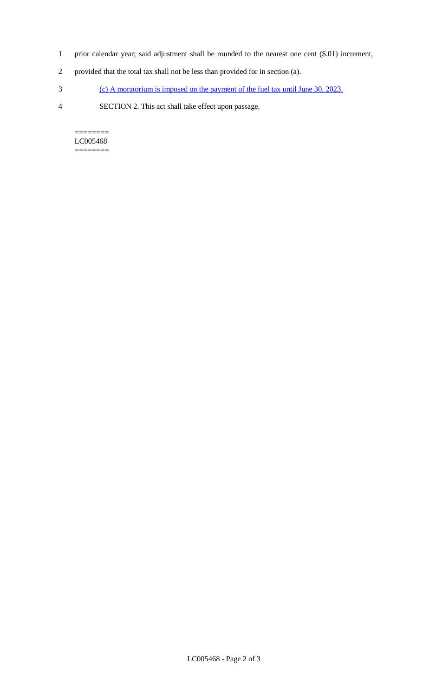- 1 prior calendar year; said adjustment shall be rounded to the nearest one cent (\$.01) increment,
- 2 provided that the total tax shall not be less than provided for in section (a).
- 3 (c) A moratorium is imposed on the payment of the fuel tax until June 30, 2023.
- 4 SECTION 2. This act shall take effect upon passage.

======== LC005468 ========